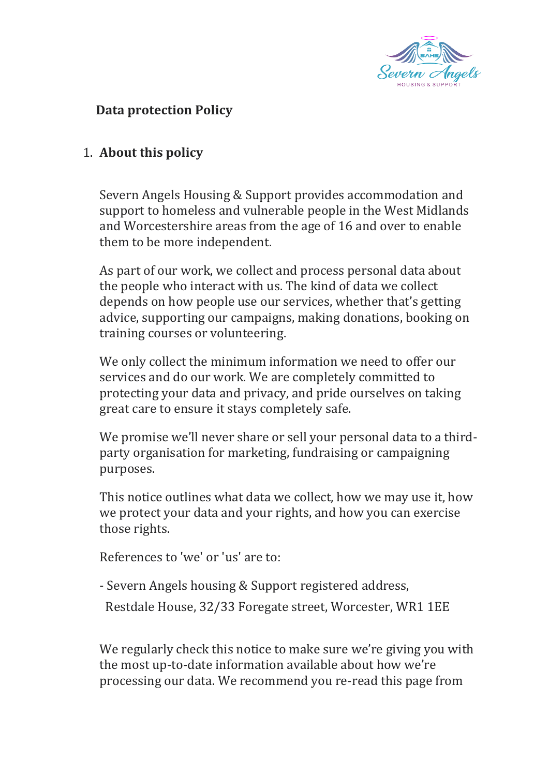

## **Data protection Policy**

### 1. **About this policy**

Severn Angels Housing & Support provides accommodation and support to homeless and vulnerable people in the West Midlands and Worcestershire areas from the age of 16 and over to enable them to be more independent.

As part of our work, we collect and process personal data about the people who interact with us. The kind of data we collect depends on how people use our services, whether that's getting advice, supporting our campaigns, making donations, booking on training courses or volunteering.

We only collect the minimum information we need to offer our services and do our work. We are completely committed to protecting your data and privacy, and pride ourselves on taking great care to ensure it stays completely safe.

We promise we'll never share or sell your personal data to a thirdparty organisation for marketing, fundraising or campaigning purposes.

This notice outlines what data we collect, how we may use it, how we protect your data and your rights, and how you can exercise those rights.

References to 'we' or 'us' are to:

- Severn Angels housing & Support registered address,

Restdale House, 32/33 Foregate street, Worcester, WR1 1EE

We regularly check this notice to make sure we're giving you with the most up-to-date information available about how we're processing our data. We recommend you re-read this page from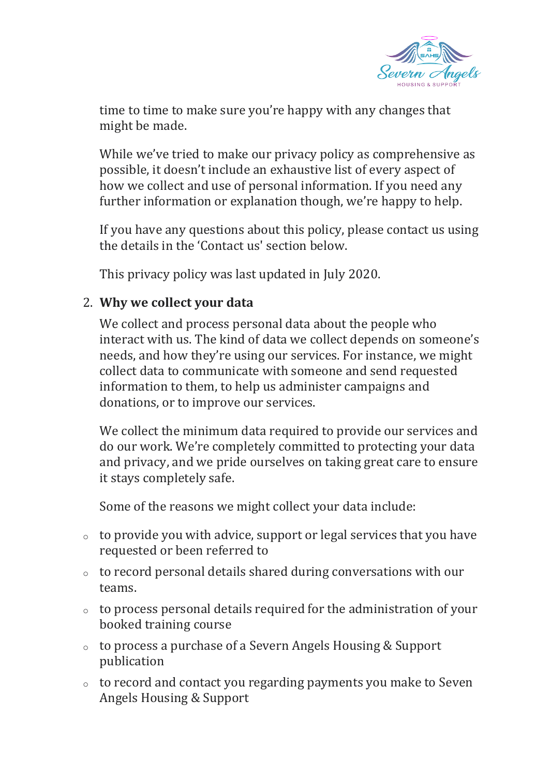

time to time to make sure you're happy with any changes that might be made.

While we've tried to make our privacy policy as comprehensive as possible, it doesn't include an exhaustive list of every aspect of how we collect and use of personal information. If you need any further information or explanation though, we're happy to help.

If you have any questions about this policy, please contact us using the details in the 'Contact us' section below.

This privacy policy was last updated in July 2020.

### 2. **Why we collect your data**

We collect and process personal data about the people who interact with us. The kind of data we collect depends on someone's needs, and how they're using our services. For instance, we might collect data to communicate with someone and send requested information to them, to help us administer campaigns and donations, or to improve our services.

We collect the minimum data required to provide our services and do our work. We're completely committed to protecting your data and privacy, and we pride ourselves on taking great care to ensure it stays completely safe.

Some of the reasons we might collect your data include:

- $\circ$  to provide you with advice, support or legal services that you have requested or been referred to
- <sup>o</sup> to record personal details shared during conversations with our teams.
- <sup>o</sup> to process personal details required for the administration of your booked training course
- <sup>o</sup> to process a purchase of a Severn Angels Housing & Support publication
- <sup>o</sup> to record and contact you regarding payments you make to Seven Angels Housing & Support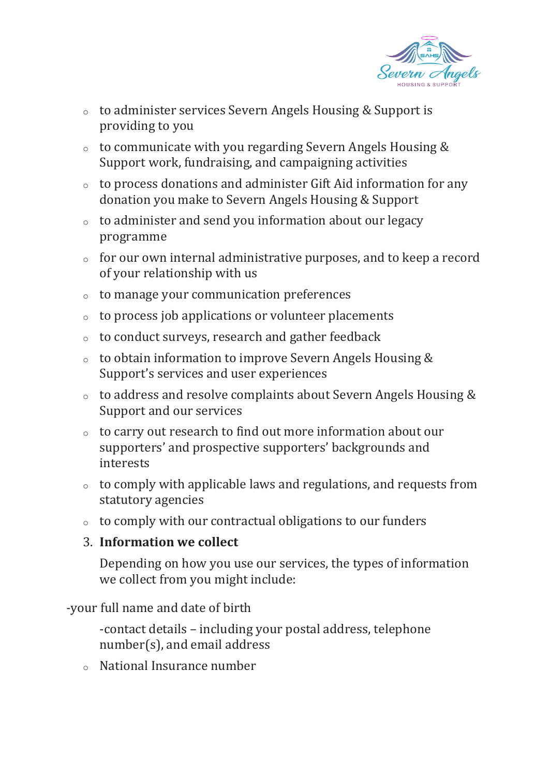

- <sup>o</sup> to administer services Severn Angels Housing & Support is providing to you
- <sup>o</sup> to communicate with you regarding Severn Angels Housing & Support work, fundraising, and campaigning activities
- <sup>o</sup> to process donations and administer Gift Aid information for any donation you make to Severn Angels Housing & Support
- <sup>o</sup> to administer and send you information about our legacy programme
- $\circ$  for our own internal administrative purposes, and to keep a record of your relationship with us
- <sup>o</sup> to manage your communication preferences
- <sup>o</sup> to process job applications or volunteer placements
- <sup>o</sup> to conduct surveys, research and gather feedback
- <sup>o</sup> to obtain information to improve Severn Angels Housing & Support's services and user experiences
- <sup>o</sup> to address and resolve complaints about Severn Angels Housing & Support and our services
- <sup>o</sup> to carry out research to find out more information about our supporters' and prospective supporters' backgrounds and interests
- <sup>o</sup> to comply with applicable laws and regulations, and requests from statutory agencies
- <sup>o</sup> to comply with our contractual obligations to our funders

### 3. **Information we collect**

Depending on how you use our services, the types of information we collect from you might include:

-your full name and date of birth

-contact details – including your postal address, telephone number(s), and email address

<sup>o</sup> National Insurance number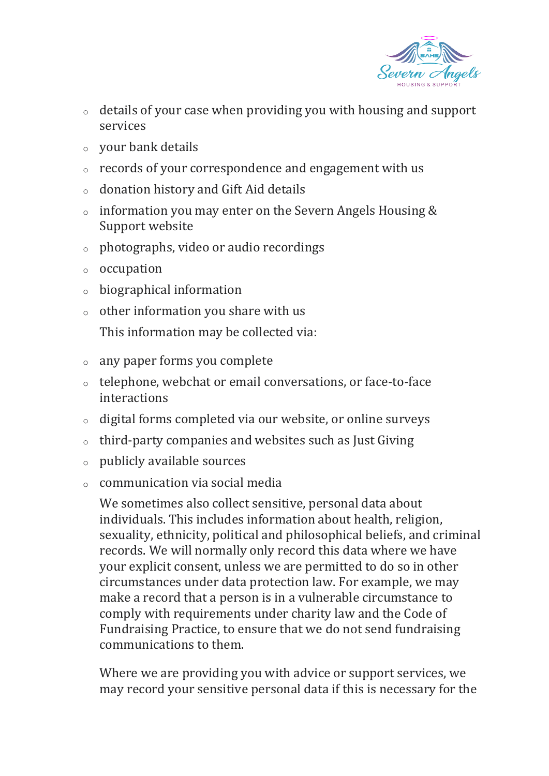

- $\circ$  details of your case when providing you with housing and support services
- <sup>o</sup> your bank details
- <sup>o</sup> records of your correspondence and engagement with us
- <sup>o</sup> donation history and Gift Aid details
- <sup>o</sup> information you may enter on the Severn Angels Housing & Support website
- <sup>o</sup> photographs, video or audio recordings
- <sup>o</sup> occupation
- <sup>o</sup> biographical information
- $\circ$  other information you share with us

This information may be collected via:

- <sup>o</sup> any paper forms you complete
- <sup>o</sup> telephone, webchat or email conversations, or face-to-face interactions
- <sup>o</sup> digital forms completed via our website, or online surveys
- <sup>o</sup> third-party companies and websites such as Just Giving
- <sup>o</sup> publicly available sources
- $\circ$  communication via social media

We sometimes also collect sensitive, personal data about individuals. This includes information about health, religion, sexuality, ethnicity, political and philosophical beliefs, and criminal records. We will normally only record this data where we have your explicit consent, unless we are permitted to do so in other circumstances under data protection law. For example, we may make a record that a person is in a vulnerable circumstance to comply with requirements under charity law and the Code of Fundraising Practice, to ensure that we do not send fundraising communications to them.

Where we are providing you with advice or support services, we may record your sensitive personal data if this is necessary for the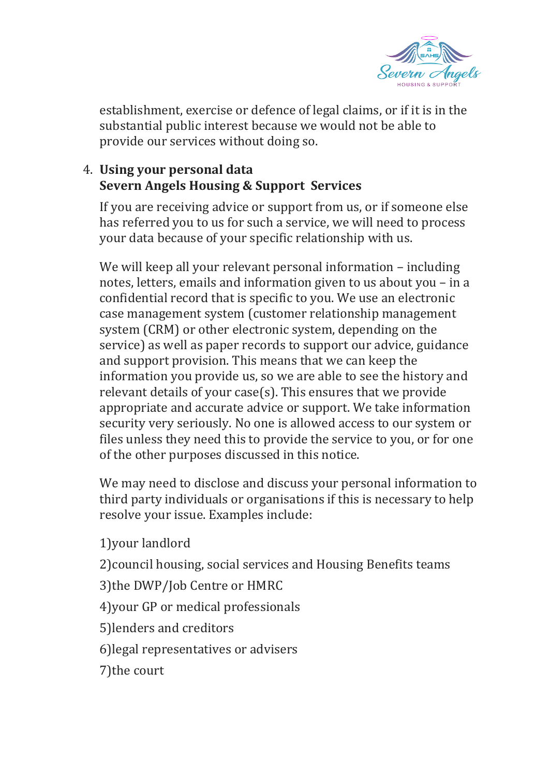

establishment, exercise or defence of legal claims, or if it is in the substantial public interest because we would not be able to provide our services without doing so.

# 4. **Using your personal data Severn Angels Housing & Support Services**

If you are receiving advice or support from us, or if someone else has referred you to us for such a service, we will need to process your data because of your specific relationship with us.

We will keep all your relevant personal information – including notes, letters, emails and information given to us about you – in a confidential record that is specific to you. We use an electronic case management system (customer relationship management system (CRM) or other electronic system, depending on the service) as well as paper records to support our advice, guidance and support provision. This means that we can keep the information you provide us, so we are able to see the history and relevant details of your case(s). This ensures that we provide appropriate and accurate advice or support. We take information security very seriously. No one is allowed access to our system or files unless they need this to provide the service to you, or for one of the other purposes discussed in this notice.

We may need to disclose and discuss your personal information to third party individuals or organisations if this is necessary to help resolve your issue. Examples include:

1)your landlord 2)council housing, social services and Housing Benefits teams 3)the DWP/Job Centre or HMRC 4)your GP or medical professionals 5)lenders and creditors 6)legal representatives or advisers 7)the court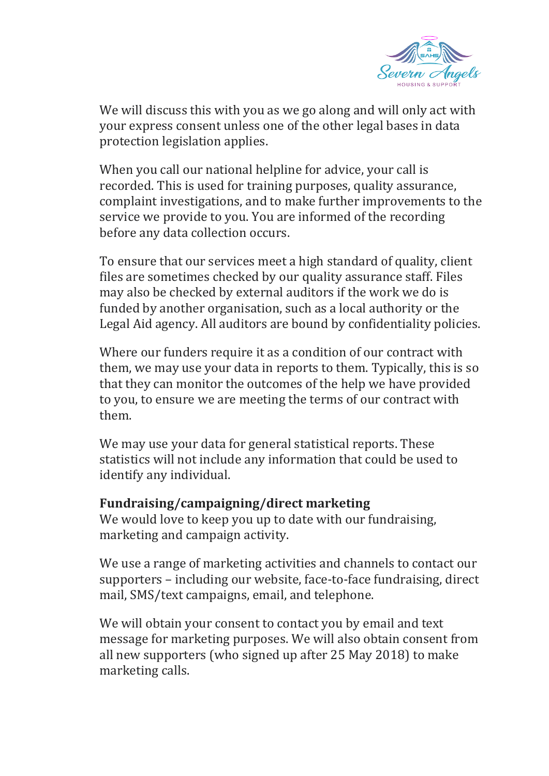

We will discuss this with you as we go along and will only act with your express consent unless one of the other legal bases in data protection legislation applies.

When you call our national helpline for advice, your call is recorded. This is used for training purposes, quality assurance, complaint investigations, and to make further improvements to the service we provide to you. You are informed of the recording before any data collection occurs.

To ensure that our services meet a high standard of quality, client files are sometimes checked by our quality assurance staff. Files may also be checked by external auditors if the work we do is funded by another organisation, such as a local authority or the Legal Aid agency. All auditors are bound by confidentiality policies.

Where our funders require it as a condition of our contract with them, we may use your data in reports to them. Typically, this is so that they can monitor the outcomes of the help we have provided to you, to ensure we are meeting the terms of our contract with them.

We may use your data for general statistical reports. These statistics will not include any information that could be used to identify any individual.

#### **Fundraising/campaigning/direct marketing**

We would love to keep you up to date with our fundraising, marketing and campaign activity.

We use a range of marketing activities and channels to contact our supporters – including our website, face-to-face fundraising, direct mail, SMS/text campaigns, email, and telephone.

We will obtain your consent to contact you by email and text message for marketing purposes. We will also obtain consent from all new supporters (who signed up after 25 May 2018) to make marketing calls.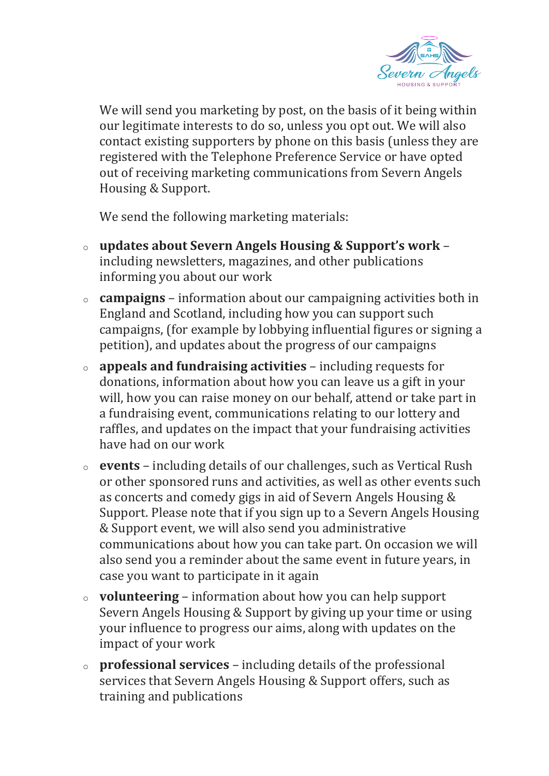

We will send you marketing by post, on the basis of it being within our legitimate interests to do so, unless you opt out. We will also contact existing supporters by phone on this basis (unless they are registered with the Telephone Preference Service or have opted out of receiving marketing communications from Severn Angels Housing & Support.

We send the following marketing materials:

- <sup>o</sup> **updates about Severn Angels Housing & Support's work** including newsletters, magazines, and other publications informing you about our work
- <sup>o</sup> **campaigns** information about our campaigning activities both in England and Scotland, including how you can support such campaigns, (for example by lobbying influential figures or signing a petition), and updates about the progress of our campaigns
- <sup>o</sup> **appeals and fundraising activities** including requests for donations, information about how you can leave us a gift in your will, how you can raise money on our behalf, attend or take part in a fundraising event, communications relating to our lottery and raffles, and updates on the impact that your fundraising activities have had on our work
- <sup>o</sup> **events** including details of our challenges, such as Vertical Rush or other sponsored runs and activities, as well as other events such as concerts and comedy gigs in aid of Severn Angels Housing & Support. Please note that if you sign up to a Severn Angels Housing & Support event, we will also send you administrative communications about how you can take part. On occasion we will also send you a reminder about the same event in future years, in case you want to participate in it again
- <sup>o</sup> **volunteering** information about how you can help support Severn Angels Housing & Support by giving up your time or using your influence to progress our aims, along with updates on the impact of your work
- <sup>o</sup> **professional services** including details of the professional services that Severn Angels Housing & Support offers, such as training and publications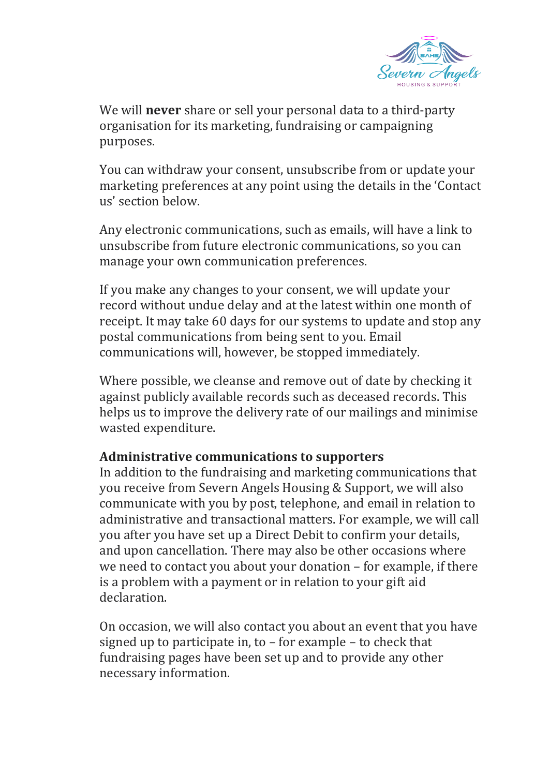

We will **never** share or sell your personal data to a third-party organisation for its marketing, fundraising or campaigning purposes.

You can withdraw your consent, unsubscribe from or update your marketing preferences at any point using the details in the 'Contact us' section below.

Any electronic communications, such as emails, will have a link to unsubscribe from future electronic communications, so you can manage your own communication preferences.

If you make any changes to your consent, we will update your record without undue delay and at the latest within one month of receipt. It may take 60 days for our systems to update and stop any postal communications from being sent to you. Email communications will, however, be stopped immediately.

Where possible, we cleanse and remove out of date by checking it against publicly available records such as deceased records. This helps us to improve the delivery rate of our mailings and minimise wasted expenditure.

#### **Administrative communications to supporters**

In addition to the fundraising and marketing communications that you receive from Severn Angels Housing & Support, we will also communicate with you by post, telephone, and email in relation to administrative and transactional matters. For example, we will call you after you have set up a Direct Debit to confirm your details, and upon cancellation. There may also be other occasions where we need to contact you about your donation – for example, if there is a problem with a payment or in relation to your gift aid declaration.

On occasion, we will also contact you about an event that you have signed up to participate in, to – for example – to check that fundraising pages have been set up and to provide any other necessary information.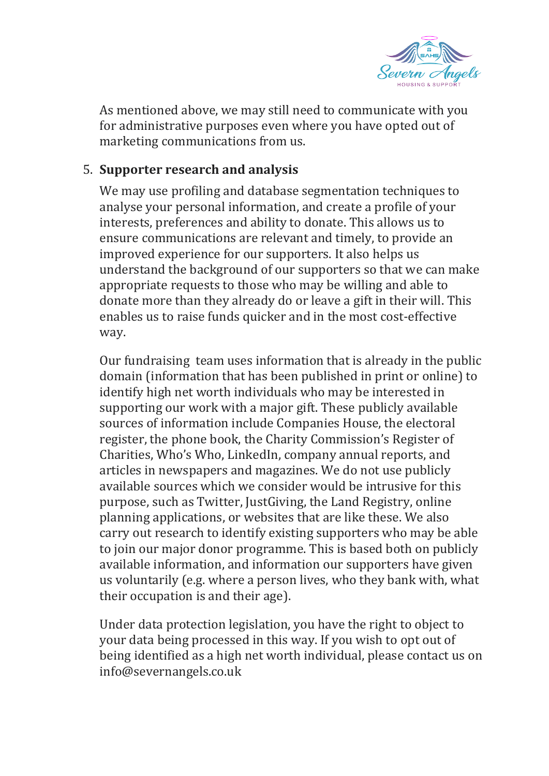

As mentioned above, we may still need to communicate with you for administrative purposes even where you have opted out of marketing communications from us.

### 5. **Supporter research and analysis**

We may use profiling and database segmentation techniques to analyse your personal information, and create a profile of your interests, preferences and ability to donate. This allows us to ensure communications are relevant and timely, to provide an improved experience for our supporters. It also helps us understand the background of our supporters so that we can make appropriate requests to those who may be willing and able to donate more than they already do or leave a gift in their will. This enables us to raise funds quicker and in the most cost-effective way.

Our fundraising team uses information that is already in the public domain (information that has been published in print or online) to identify high net worth individuals who may be interested in supporting our work with a major gift. These publicly available sources of information include Companies House, the electoral register, the phone book, the Charity Commission's Register of Charities, Who's Who, LinkedIn, company annual reports, and articles in newspapers and magazines. We do not use publicly available sources which we consider would be intrusive for this purpose, such as Twitter, JustGiving, the Land Registry, online planning applications, or websites that are like these. We also carry out research to identify existing supporters who may be able to join our major donor programme. This is based both on publicly available information, and information our supporters have given us voluntarily (e.g. where a person lives, who they bank with, what their occupation is and their age).

Under data protection legislation, you have the right to object to your data being processed in this way. If you wish to opt out of being identified as a high net worth individual, please contact us on info@severnangels.co.uk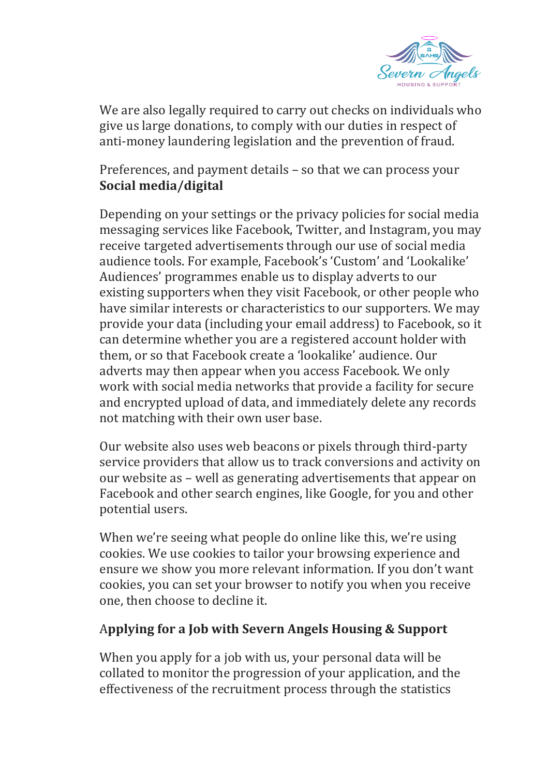

We are also legally required to carry out checks on individuals who give us large donations, to comply with our duties in respect of anti-money laundering legislation and the prevention of fraud.

Preferences, and payment details – so that we can process your **Social media/digital**

Depending on your settings or the privacy policies for social media messaging services like Facebook, Twitter, and Instagram, you may receive targeted advertisements through our use of social media audience tools. For example, Facebook's 'Custom' and 'Lookalike' Audiences' programmes enable us to display adverts to our existing supporters when they visit Facebook, or other people who have similar interests or characteristics to our supporters. We may provide your data (including your email address) to Facebook, so it can determine whether you are a registered account holder with them, or so that Facebook create a 'lookalike' audience. Our adverts may then appear when you access Facebook. We only work with social media networks that provide a facility for secure and encrypted upload of data, and immediately delete any records not matching with their own user base.

Our website also uses web beacons or pixels through third-party service providers that allow us to track conversions and activity on our website as – well as generating advertisements that appear on Facebook and other search engines, like Google, for you and other potential users.

When we're seeing what people do online like this, we're using cookies. We use cookies to tailor your browsing experience and ensure we show you more relevant information. If you don't want cookies, you can set your browser to notify you when you receive one, then choose to decline it.

### A**pplying for a Job with Severn Angels Housing & Support**

When you apply for a job with us, your personal data will be collated to monitor the progression of your application, and the effectiveness of the recruitment process through the statistics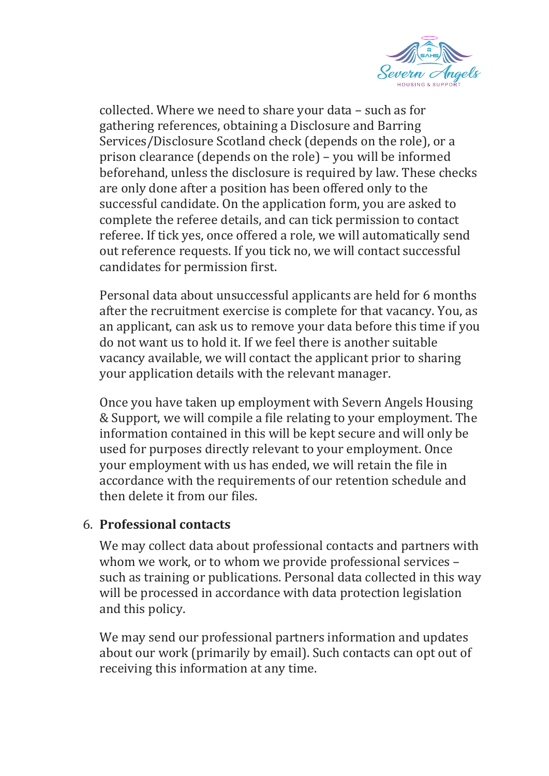

collected. Where we need to share your data – such as for gathering references, obtaining a Disclosure and Barring Services/Disclosure Scotland check (depends on the role), or a prison clearance (depends on the role) – you will be informed beforehand, unless the disclosure is required by law. These checks are only done after a position has been offered only to the successful candidate. On the application form, you are asked to complete the referee details, and can tick permission to contact referee. If tick yes, once offered a role, we will automatically send out reference requests. If you tick no, we will contact successful candidates for permission first.

Personal data about unsuccessful applicants are held for 6 months after the recruitment exercise is complete for that vacancy. You, as an applicant, can ask us to remove your data before this time if you do not want us to hold it. If we feel there is another suitable vacancy available, we will contact the applicant prior to sharing your application details with the relevant manager.

Once you have taken up employment with Severn Angels Housing & Support, we will compile a file relating to your employment. The information contained in this will be kept secure and will only be used for purposes directly relevant to your employment. Once your employment with us has ended, we will retain the file in accordance with the requirements of our retention schedule and then delete it from our files.

### 6. **Professional contacts**

We may collect data about professional contacts and partners with whom we work, or to whom we provide professional services – such as training or publications. Personal data collected in this way will be processed in accordance with data protection legislation and this policy.

We may send our professional partners information and updates about our work (primarily by email). Such contacts can opt out of receiving this information at any time.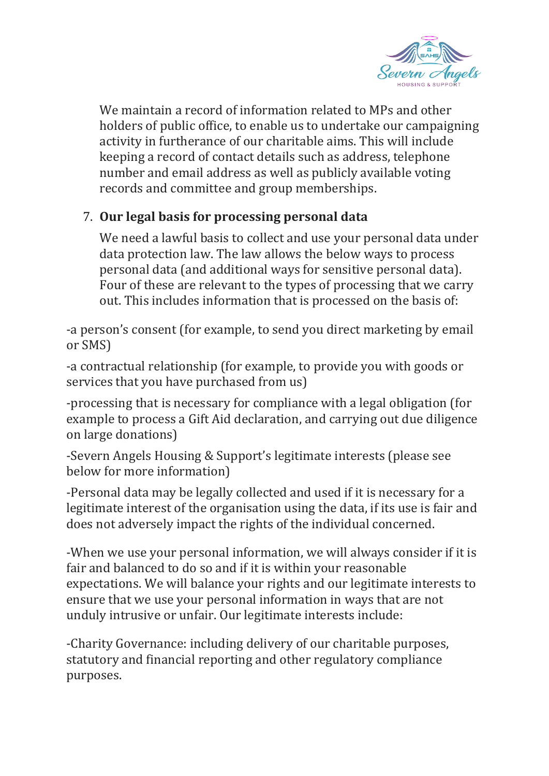

We maintain a record of information related to MPs and other holders of public office, to enable us to undertake our campaigning activity in furtherance of our charitable aims. This will include keeping a record of contact details such as address, telephone number and email address as well as publicly available voting records and committee and group memberships.

# 7. **Our legal basis for processing personal data**

We need a lawful basis to collect and use your personal data under data protection law. The law allows the below ways to process personal data (and additional ways for sensitive personal data). Four of these are relevant to the types of processing that we carry out. This includes information that is processed on the basis of:

-a person's consent (for example, to send you direct marketing by email or SMS)

-a contractual relationship (for example, to provide you with goods or services that you have purchased from us)

-processing that is necessary for compliance with a legal obligation (for example to process a Gift Aid declaration, and carrying out due diligence on large donations)

-Severn Angels Housing & Support's legitimate interests (please see below for more information)

-Personal data may be legally collected and used if it is necessary for a legitimate interest of the organisation using the data, if its use is fair and does not adversely impact the rights of the individual concerned.

-When we use your personal information, we will always consider if it is fair and balanced to do so and if it is within your reasonable expectations. We will balance your rights and our legitimate interests to ensure that we use your personal information in ways that are not unduly intrusive or unfair. Our legitimate interests include:

-Charity Governance: including delivery of our charitable purposes, statutory and financial reporting and other regulatory compliance purposes.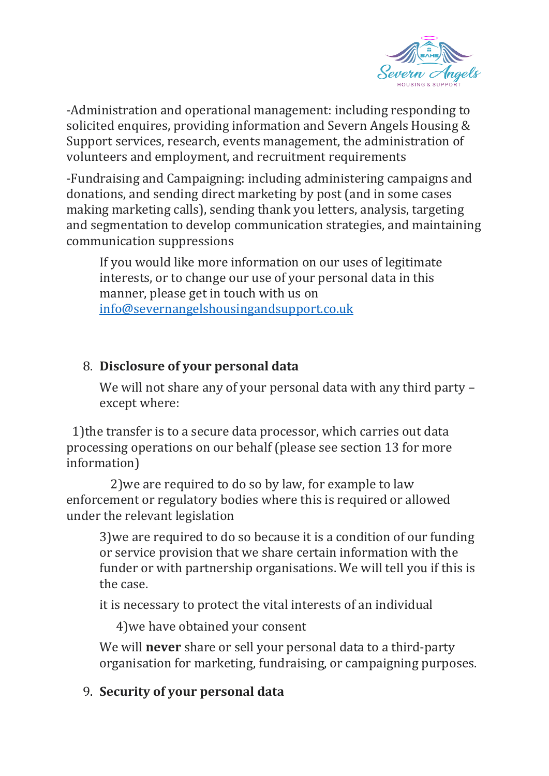

-Administration and operational management: including responding to solicited enquires, providing information and Severn Angels Housing & Support services, research, events management, the administration of volunteers and employment, and recruitment requirements

-Fundraising and Campaigning: including administering campaigns and donations, and sending direct marketing by post (and in some cases making marketing calls), sending thank you letters, analysis, targeting and segmentation to develop communication strategies, and maintaining communication suppressions

If you would like more information on our uses of legitimate interests, or to change our use of your personal data in this manner, please get in touch with us on [info@severnangelshousingandsupport.co.uk](mailto:info@severnangelshousingandsupport.co.uk)

### 8. **Disclosure of your personal data**

We will not share any of your personal data with any third party except where:

 1)the transfer is to a secure data processor, which carries out data processing operations on our behalf (please see section 13 for more information)

 2)we are required to do so by law, for example to law enforcement or regulatory bodies where this is required or allowed under the relevant legislation

3)we are required to do so because it is a condition of our funding or service provision that we share certain information with the funder or with partnership organisations. We will tell you if this is the case.

it is necessary to protect the vital interests of an individual

4)we have obtained your consent

We will **never** share or sell your personal data to a third-party organisation for marketing, fundraising, or campaigning purposes.

# 9. **Security of your personal data**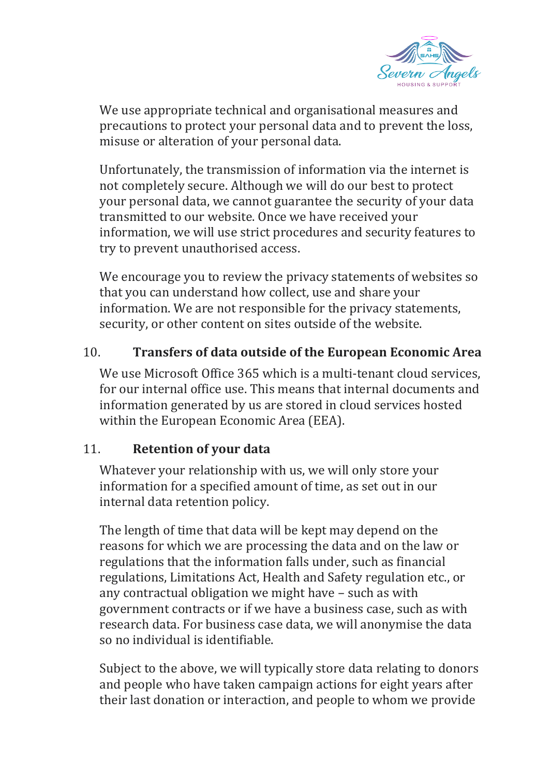

We use appropriate technical and organisational measures and precautions to protect your personal data and to prevent the loss, misuse or alteration of your personal data.

Unfortunately, the transmission of information via the internet is not completely secure. Although we will do our best to protect your personal data, we cannot guarantee the security of your data transmitted to our website. Once we have received your information, we will use strict procedures and security features to try to prevent unauthorised access.

We encourage you to review the privacy statements of websites so that you can understand how collect, use and share your information. We are not responsible for the privacy statements, security, or other content on sites outside of the website.

### 10. **Transfers of data outside of the European Economic Area**

We use Microsoft Office 365 which is a multi-tenant cloud services, for our internal office use. This means that internal documents and information generated by us are stored in cloud services hosted within the European Economic Area (EEA).

#### 11. **Retention of your data**

Whatever your relationship with us, we will only store your information for a specified amount of time, as set out in our internal data retention policy.

The length of time that data will be kept may depend on the reasons for which we are processing the data and on the law or regulations that the information falls under, such as financial regulations, Limitations Act, Health and Safety regulation etc., or any contractual obligation we might have – such as with government contracts or if we have a business case, such as with research data. For business case data, we will anonymise the data so no individual is identifiable.

Subject to the above, we will typically store data relating to donors and people who have taken campaign actions for eight years after their last donation or interaction, and people to whom we provide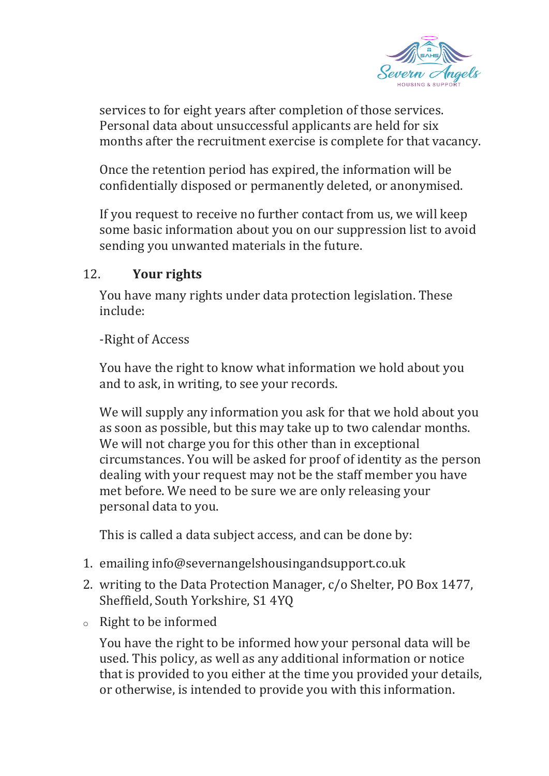

services to for eight years after completion of those services. Personal data about unsuccessful applicants are held for six months after the recruitment exercise is complete for that vacancy.

Once the retention period has expired, the information will be confidentially disposed or permanently deleted, or anonymised.

If you request to receive no further contact from us, we will keep some basic information about you on our suppression list to avoid sending you unwanted materials in the future.

### 12. **Your rights**

You have many rights under data protection legislation. These include:

#### -Right of Access

You have the right to know what information we hold about you and to ask, in writing, to see your records.

We will supply any information you ask for that we hold about you as soon as possible, but this may take up to two calendar months. We will not charge you for this other than in exceptional circumstances. You will be asked for proof of identity as the person dealing with your request may not be the staff member you have met before. We need to be sure we are only releasing your personal data to you.

This is called a data subject access, and can be done by:

- 1. emailing info@severnangelshousingandsupport.co.uk
- 2. writing to the Data Protection Manager, c/o Shelter, PO Box 1477, Sheffield, South Yorkshire, S1 4YQ
- <sup>o</sup> Right to be informed

You have the right to be informed how your personal data will be used. This policy, as well as any additional information or notice that is provided to you either at the time you provided your details, or otherwise, is intended to provide you with this information.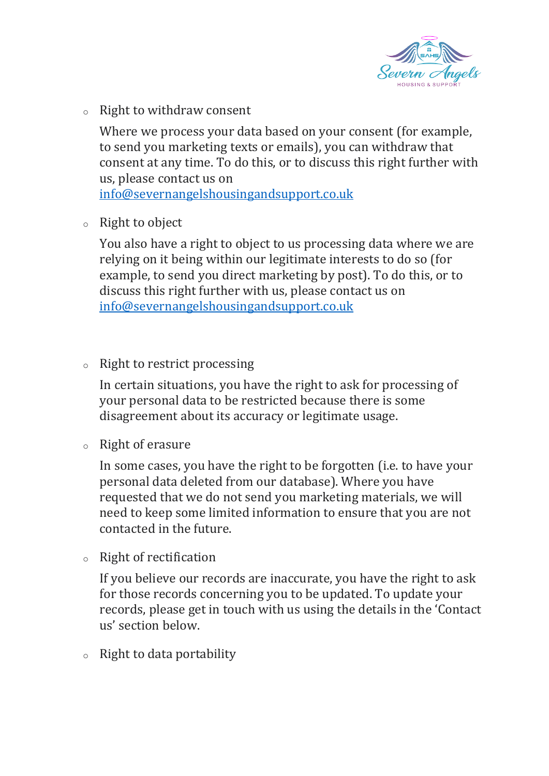

<sup>o</sup> Right to withdraw consent

Where we process your data based on your consent (for example, to send you marketing texts or emails), you can withdraw that consent at any time. To do this, or to discuss this right further with us, please contact us on

[info@severnangelshousingandsupport.co.uk](mailto:info@severnangelshousingandsupport.co.uk)

<sup>o</sup> Right to object

You also have a right to object to us processing data where we are relying on it being within our legitimate interests to do so (for example, to send you direct marketing by post). To do this, or to discuss this right further with us, please contact us on [info@severnangelshousingandsupport.co.uk](mailto:info@severnangelshousingandsupport.co.uk)

<sup>o</sup> Right to restrict processing

In certain situations, you have the right to ask for processing of your personal data to be restricted because there is some disagreement about its accuracy or legitimate usage.

<sup>o</sup> Right of erasure

In some cases, you have the right to be forgotten (i.e. to have your personal data deleted from our database). Where you have requested that we do not send you marketing materials, we will need to keep some limited information to ensure that you are not contacted in the future.

<sup>o</sup> Right of rectification

If you believe our records are inaccurate, you have the right to ask for those records concerning you to be updated. To update your records, please get in touch with us using the details in the 'Contact us' section below.

<sup>o</sup> Right to data portability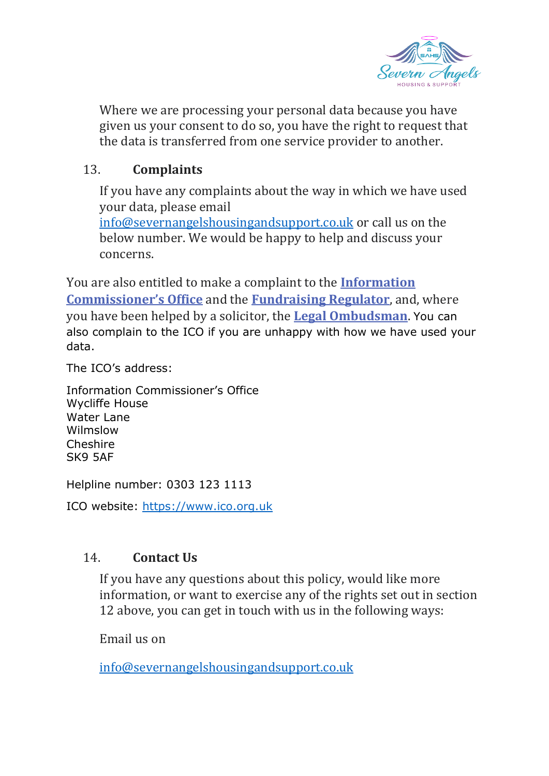

Where we are processing your personal data because you have given us your consent to do so, you have the right to request that the data is transferred from one service provider to another.

# 13. **Complaints**

If you have any complaints about the way in which we have used your data, please email

[info@severnangelshousingandsupport.co.uk](mailto:info@severnangelshousingandsupport.co.uk) or call us on the below number. We would be happy to help and discuss your concerns.

You are also entitled to make a complaint to the **[Information](https://www.ico.org.uk/)  [Commissioner's Office](https://www.ico.org.uk/)** and the **[Fundraising Regulator](https://www.fundraisingpreference.org.uk/)**, and, where you have been helped by a solicitor, the **[Legal Ombudsman](http://www.legalombudsman.org.uk/)**. You can also complain to the ICO if you are unhappy with how we have used your data.

The ICO's address:

Information Commissioner's Office Wycliffe House Water Lane Wilmslow Cheshire SK9 5AF

Helpline number: 0303 123 1113

ICO website: [https://www.ico.org.uk](https://www.ico.org.uk/)

### 14. **Contact Us**

If you have any questions about this policy, would like more information, or want to exercise any of the rights set out in section 12 above, you can get in touch with us in the following ways:

Email us on

[info@severnangelshousingandsupport.co.uk](mailto:info@severnangelshousingandsupport.co.uk)